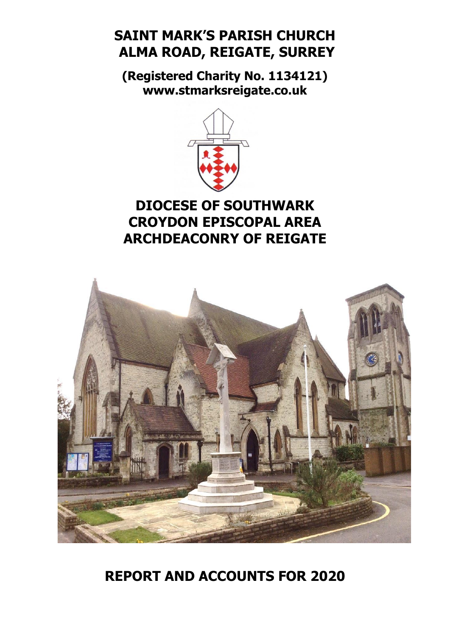# **SAINT MARK'S PARISH CHURCH ALMA ROAD, REIGATE, SURREY**

**(Registered Charity No. 1134121) [www.stmarksreigate.co.uk](http://www.stmarksreigate.co.uk/)**



# **DIOCESE OF SOUTHWARK CROYDON EPISCOPAL AREA ARCHDEACONRY OF REIGATE**



# **REPORT AND ACCOUNTS FOR 2020**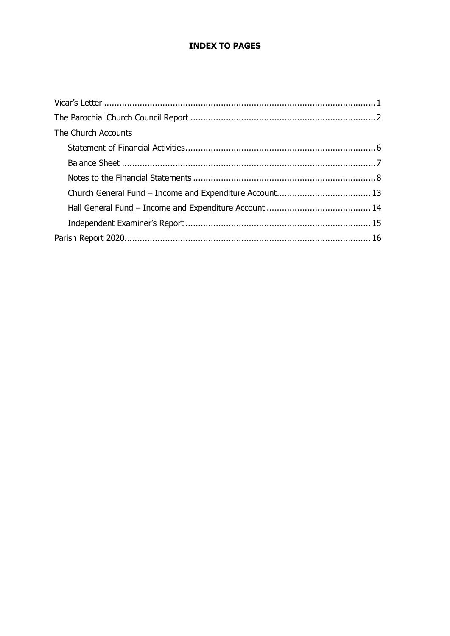# **INDEX TO PAGES**

| The Church Accounts |  |
|---------------------|--|
|                     |  |
|                     |  |
|                     |  |
|                     |  |
|                     |  |
|                     |  |
|                     |  |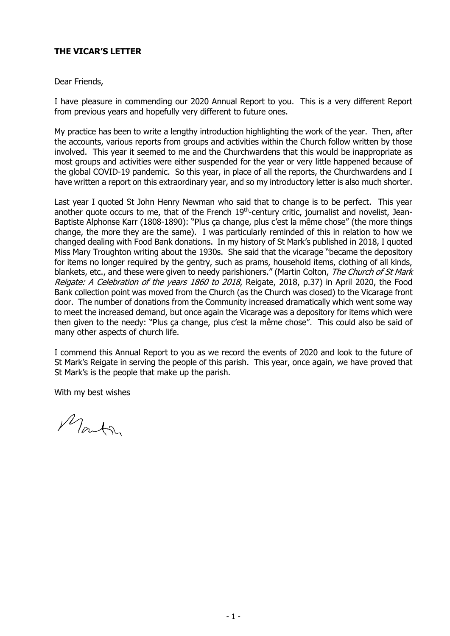# **THE VICAR'S LETTER**

## Dear Friends,

I have pleasure in commending our 2020 Annual Report to you. This is a very different Report from previous years and hopefully very different to future ones.

My practice has been to write a lengthy introduction highlighting the work of the year. Then, after the accounts, various reports from groups and activities within the Church follow written by those involved. This year it seemed to me and the Churchwardens that this would be inappropriate as most groups and activities were either suspended for the year or very little happened because of the global COVID-19 pandemic. So this year, in place of all the reports, the Churchwardens and I have written a report on this extraordinary year, and so my introductory letter is also much shorter.

Last year I quoted St John Henry Newman who said that to change is to be perfect. This year another quote occurs to me, that of the French 19<sup>th</sup>-century critic, journalist and novelist, Jean-Baptiste Alphonse Karr (1808-1890): "Plus ca change, plus c'est la même chose" (the more things change, the more they are the same). I was particularly reminded of this in relation to how we changed dealing with Food Bank donations. In my history of St Mark's published in 2018, I quoted Miss Mary Troughton writing about the 1930s. She said that the vicarage "became the depository for items no longer required by the gentry, such as prams, household items, clothing of all kinds, blankets, etc., and these were given to needy parishioners." (Martin Colton, The Church of St Mark Reigate: A Celebration of the years 1860 to 2018, Reigate, 2018, p.37) in April 2020, the Food Bank collection point was moved from the Church (as the Church was closed) to the Vicarage front door. The number of donations from the Community increased dramatically which went some way to meet the increased demand, but once again the Vicarage was a depository for items which were then given to the needy: "Plus ça change, plus c'est la même chose". This could also be said of many other aspects of church life.

I commend this Annual Report to you as we record the events of 2020 and look to the future of St Mark's Reigate in serving the people of this parish. This year, once again, we have proved that St Mark's is the people that make up the parish.

With my best wishes

Monta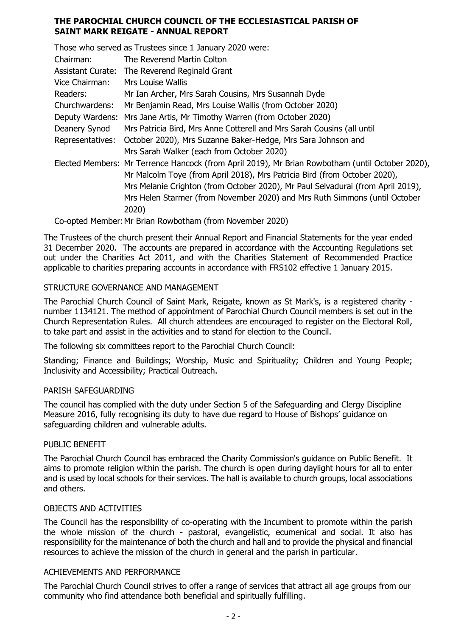## **THE PAROCHIAL CHURCH COUNCIL OF THE ECCLESIASTICAL PARISH OF SAINT MARK REIGATE - ANNUAL REPORT**

|                          | Those who served as Trustees since 1 January 2020 were:                                          |
|--------------------------|--------------------------------------------------------------------------------------------------|
| Chairman:                | The Reverend Martin Colton                                                                       |
| <b>Assistant Curate:</b> | The Reverend Reginald Grant                                                                      |
| Vice Chairman:           | Mrs Louise Wallis                                                                                |
| Readers:                 | Mr Ian Archer, Mrs Sarah Cousins, Mrs Susannah Dyde                                              |
| Churchwardens:           | Mr Benjamin Read, Mrs Louise Wallis (from October 2020)                                          |
|                          | Deputy Wardens: Mrs Jane Artis, Mr Timothy Warren (from October 2020)                            |
| Deanery Synod            | Mrs Patricia Bird, Mrs Anne Cotterell and Mrs Sarah Cousins (all until                           |
| Representatives:         | October 2020), Mrs Suzanne Baker-Hedge, Mrs Sara Johnson and                                     |
|                          | Mrs Sarah Walker (each from October 2020)                                                        |
|                          | Elected Members: Mr Terrence Hancock (from April 2019), Mr Brian Rowbotham (until October 2020), |
|                          | Mr Malcolm Toye (from April 2018), Mrs Patricia Bird (from October 2020),                        |
|                          | Mrs Melanie Crighton (from October 2020), Mr Paul Selvadurai (from April 2019),                  |
|                          | Mrs Helen Starmer (from November 2020) and Mrs Ruth Simmons (until October                       |
|                          | 2020)                                                                                            |

Co-opted Member:Mr Brian Rowbotham (from November 2020)

The Trustees of the church present their Annual Report and Financial Statements for the year ended 31 December 2020. The accounts are prepared in accordance with the Accounting Regulations set out under the Charities Act 2011, and with the Charities Statement of Recommended Practice applicable to charities preparing accounts in accordance with FRS102 effective 1 January 2015.

## STRUCTURE GOVERNANCE AND MANAGEMENT

The Parochial Church Council of Saint Mark, Reigate, known as St Mark's, is a registered charity number 1134121. The method of appointment of Parochial Church Council members is set out in the Church Representation Rules. All church attendees are encouraged to register on the Electoral Roll, to take part and assist in the activities and to stand for election to the Council.

The following six committees report to the Parochial Church Council:

Standing; Finance and Buildings; Worship, Music and Spirituality; Children and Young People; Inclusivity and Accessibility; Practical Outreach.

## PARISH SAFFGUARDING

The council has complied with the duty under Section 5 of the Safeguarding and Clergy Discipline Measure 2016, fully recognising its duty to have due regard to House of Bishops' guidance on safeguarding children and vulnerable adults.

## PUBLIC BENEFIT

The Parochial Church Council has embraced the Charity Commission's guidance on Public Benefit. It aims to promote religion within the parish. The church is open during daylight hours for all to enter and is used by local schools for their services. The hall is available to church groups, local associations and others.

## OBJECTS AND ACTIVITIES

The Council has the responsibility of co-operating with the Incumbent to promote within the parish the whole mission of the church - pastoral, evangelistic, ecumenical and social. It also has responsibility for the maintenance of both the church and hall and to provide the physical and financial resources to achieve the mission of the church in general and the parish in particular.

## ACHIEVEMENTS AND PERFORMANCE

The Parochial Church Council strives to offer a range of services that attract all age groups from our community who find attendance both beneficial and spiritually fulfilling.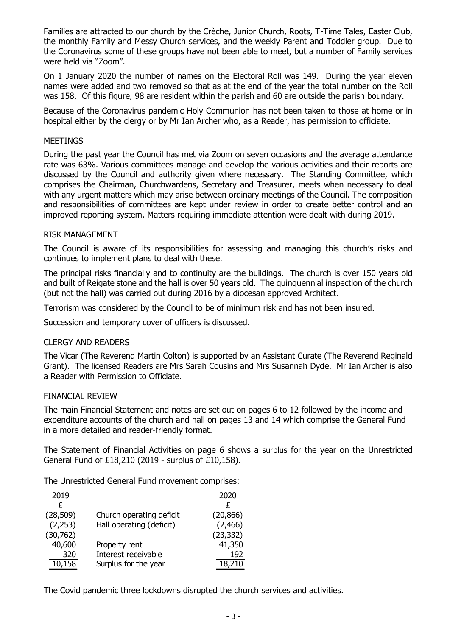Families are attracted to our church by the Crèche, Junior Church, Roots, T-Time Tales, Easter Club, the monthly Family and Messy Church services, and the weekly Parent and Toddler group. Due to the Coronavirus some of these groups have not been able to meet, but a number of Family services were held via "Zoom".

On 1 January 2020 the number of names on the Electoral Roll was 149. During the year eleven names were added and two removed so that as at the end of the year the total number on the Roll was 158. Of this figure, 98 are resident within the parish and 60 are outside the parish boundary.

Because of the Coronavirus pandemic Holy Communion has not been taken to those at home or in hospital either by the clergy or by Mr Ian Archer who, as a Reader, has permission to officiate.

## **MEETINGS**

During the past year the Council has met via Zoom on seven occasions and the average attendance rate was 63%. Various committees manage and develop the various activities and their reports are discussed by the Council and authority given where necessary. The Standing Committee, which comprises the Chairman, Churchwardens, Secretary and Treasurer, meets when necessary to deal with any urgent matters which may arise between ordinary meetings of the Council. The composition and responsibilities of committees are kept under review in order to create better control and an improved reporting system. Matters requiring immediate attention were dealt with during 2019.

## RISK MANAGEMENT

The Council is aware of its responsibilities for assessing and managing this church's risks and continues to implement plans to deal with these.

The principal risks financially and to continuity are the buildings. The church is over 150 years old and built of Reigate stone and the hall is over 50 years old. The quinquennial inspection of the church (but not the hall) was carried out during 2016 by a diocesan approved Architect.

Terrorism was considered by the Council to be of minimum risk and has not been insured.

Succession and temporary cover of officers is discussed.

## CLERGY AND READERS

The Vicar (The Reverend Martin Colton) is supported by an Assistant Curate (The Reverend Reginald Grant). The licensed Readers are Mrs Sarah Cousins and Mrs Susannah Dyde. Mr Ian Archer is also a Reader with Permission to Officiate.

## FINANCIAL REVIEW

The main Financial Statement and notes are set out on pages 6 to 12 followed by the income and expenditure accounts of the church and hall on pages 13 and 14 which comprise the General Fund in a more detailed and reader-friendly format.

The Statement of Financial Activities on page 6 shows a surplus for the year on the Unrestricted General Fund of £18,210 (2019 - surplus of £10,158).

The Unrestricted General Fund movement comprises:

| 2019      |                          | 2020      |
|-----------|--------------------------|-----------|
| £         |                          | £         |
| (28, 509) | Church operating deficit | (20, 866) |
| (2,253)   | Hall operating (deficit) | (2, 466)  |
| (30, 762) |                          | (23, 332) |
| 40,600    | Property rent            | 41,350    |
| 320       | Interest receivable      | 192       |
| 10,158    | Surplus for the year     | 18,210    |
|           |                          |           |

The Covid pandemic three lockdowns disrupted the church services and activities.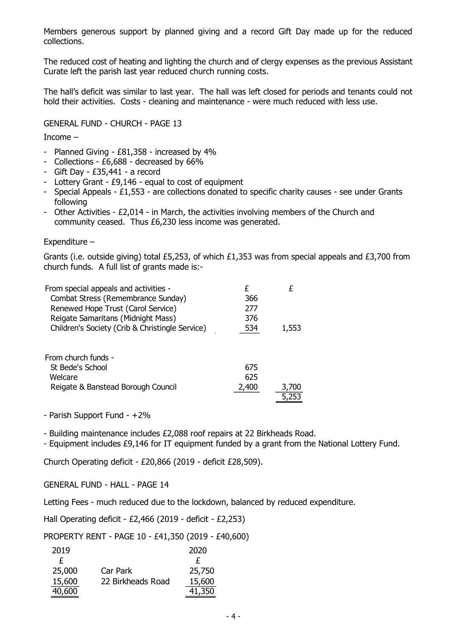Members generous support by planned giving and a record Gift Day made up for the reduced collections.

The reduced cost of heating and lighting the church and of clergy expenses as the previous Assistant Curate left the parish last year reduced church running costs.

The hall's deficit was similar to last year. The hall was left closed for periods and tenants could not hold their activities. Costs - cleaning and maintenance - were much reduced with less use.

GENERAL FUND - CHURCH - PAGE 13

Income –

- Planned Giving £81,358 increased by 4%
- Collections £6,688 decreased by 66%
- Gift Day £35,441 a record
- Lottery Grant £9,146 equal to cost of equipment
- Special Appeals £1,553 are collections donated to specific charity causes see under Grants following
- Other Activities £2,014 in March, the activities involving members of the Church and community ceased. Thus £6,230 less income was generated.

Expenditure –

Grants (i.e. outside giving) total £5,253, of which £1,353 was from special appeals and £3,700 from church funds. A full list of grants made is:-

| From special appeals and activities -           |       |       |
|-------------------------------------------------|-------|-------|
| Combat Stress (Remembrance Sunday)              | 366   |       |
| Renewed Hope Trust (Carol Service)              | 277   |       |
| Reigate Samaritans (Midnight Mass)              | 376   |       |
| Children's Society (Crib & Christingle Service) | 534   | 1,553 |
|                                                 |       |       |
| From church funds -                             |       |       |
| St Bede's School                                | 675   |       |
| Welcare                                         | 625   |       |
| Reigate & Banstead Borough Council              | 2,400 | 3,700 |
|                                                 |       |       |

- Parish Support Fund - +2%

- Building maintenance includes £2,088 roof repairs at 22 Birkheads Road.

- Equipment includes £9,146 for IT equipment funded by a grant from the National Lottery Fund.

Church Operating deficit - £20,866 (2019 - deficit £28,509).

GENERAL FUND - HALL - PAGE 14

Letting Fees - much reduced due to the lockdown, balanced by reduced expenditure.

Hall Operating deficit - £2,466 (2019 - deficit - £2,253)

PROPERTY RENT - PAGE 10 - £41,350 (2019 - £40,600)

| 2019   |                   | 2020   |
|--------|-------------------|--------|
| £      |                   | £      |
| 25,000 | Car Park          | 25,750 |
| 15,600 | 22 Birkheads Road | 15,600 |
| 40,600 |                   | 41,350 |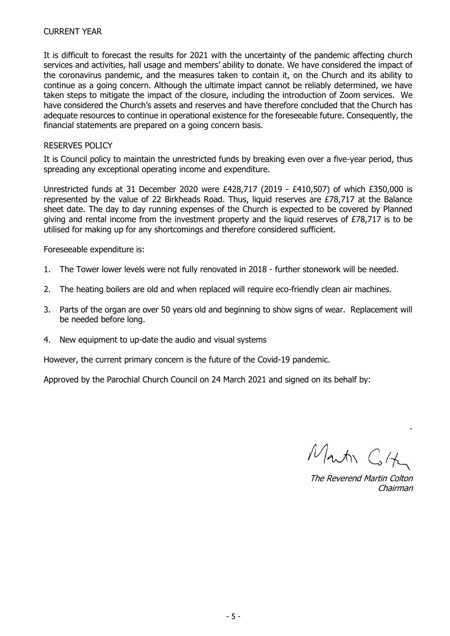It is difficult to forecast the results for 2021 with the uncertainty of the pandemic affecting church services and activities, hall usage and members' ability to donate. We have considered the impact of the coronavirus pandemic, and the measures taken to contain it, on the Church and its ability to continue as a going concern. Although the ultimate impact cannot be reliably determined, we have taken steps to mitigate the impact of the closure, including the introduction of Zoom services. We have considered the Church's assets and reserves and have therefore concluded that the Church has adequate resources to continue in operational existence for the foreseeable future. Consequently, the financial statements are prepared on a going concern basis.

## RESERVES POLICY

It is Council policy to maintain the unrestricted funds by breaking even over a five-year period, thus spreading any exceptional operating income and expenditure.

Unrestricted funds at 31 December 2020 were  $£428.717$  (2019 -  $£410.507$ ) of which  $£350.000$  is represented by the value of 22 Birkheads Road. Thus, liquid reserves are £78,717 at the Balance sheet date. The day to day running expenses of the Church is expected to be covered by Planned giving and rental income from the investment property and the liquid reserves of  $E78.717$  is to be utilised for making up for any shortcomings and therefore considered sufficient.

Foreseeable expenditure is:

- 1. The Tower lower levels were not fully renovated in 2018 further stonework will be needed.
- 2. The heating boilers are old and when replaced will require eco-friendly clean air machines.
- 3. Parts of the organ are over 50 years old and beginning to show signs of wear. Replacement will be needed before long.
- 4. New equipment to up-date the audio and visual systems

However, the current primary concern is the future of the Covid-19 pandemic.

Approved by the Parochial Church Council on 24 March 2021 and signed on its behalf by:

Martin Colte

-

The Reverend Martin Colton Chairman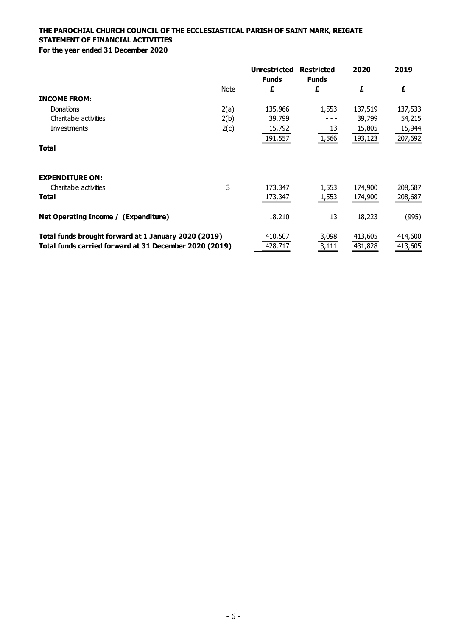|                                                        |      | <b>Unrestricted</b><br><b>Funds</b> | <b>Restricted</b><br><b>Funds</b> | 2020    | 2019    |
|--------------------------------------------------------|------|-------------------------------------|-----------------------------------|---------|---------|
|                                                        | Note | £                                   | £                                 | £       | £       |
| <b>INCOME FROM:</b>                                    |      |                                     |                                   |         |         |
| Donations                                              | 2(a) | 135,966                             | 1,553                             | 137,519 | 137,533 |
| Charitable activities                                  | 2(b) | 39,799                              |                                   | 39,799  | 54,215  |
| Investments                                            | 2(c) | 15,792                              | 13                                | 15,805  | 15,944  |
|                                                        |      | 191,557                             | 1,566                             | 193,123 | 207,692 |
| <b>Total</b>                                           |      |                                     |                                   |         |         |
| <b>EXPENDITURE ON:</b>                                 |      |                                     |                                   |         |         |
| Charitable activities                                  | 3    | 173,347                             | 1,553                             | 174,900 | 208,687 |
| <b>Total</b>                                           |      | 173,347                             | 1,553                             | 174,900 | 208,687 |
| Net Operating Income / (Expenditure)                   |      | 18,210                              | 13                                | 18,223  | (995)   |
| Total funds brought forward at 1 January 2020 (2019)   |      | 410,507                             | 3,098                             | 413,605 | 414,600 |
| Total funds carried forward at 31 December 2020 (2019) |      | 428,717                             | 3,111                             | 431,828 | 413,605 |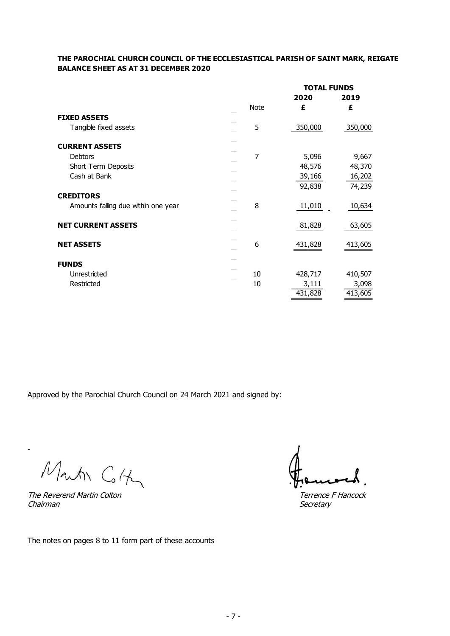## **THE PAROCHIAL CHURCH COUNCIL OF THE ECCLESIASTICAL PARISH OF SAINT MARK, REIGATE BALANCE SHEET AS AT 31 DECEMBER 2020**

|                                     |      | <b>TOTAL FUNDS</b> |         |
|-------------------------------------|------|--------------------|---------|
|                                     |      | 2020               | 2019    |
|                                     | Note | £                  | £       |
| <b>FIXED ASSETS</b>                 |      |                    |         |
| Tangible fixed assets               | 5    | 350,000            | 350,000 |
| <b>CURRENT ASSETS</b>               |      |                    |         |
| Debtors                             | 7    | 5,096              | 9,667   |
| Short Term Deposits                 |      | 48,576             | 48,370  |
| Cash at Bank                        |      | 39,166             | 16,202  |
|                                     |      | 92,838             | 74,239  |
| <b>CREDITORS</b>                    |      |                    |         |
| Amounts falling due within one year | 8    | 11,010             | 10,634  |
| <b>NET CURRENT ASSETS</b>           |      | 81,828             | 63,605  |
| <b>NET ASSETS</b>                   | 6    | 431,828            | 413,605 |
| <b>FUNDS</b>                        |      |                    |         |
| Unrestricted                        | 10   | 428,717            | 410,507 |
| Restricted                          | 10   | 3,111              | 3,098   |
|                                     |      | 431,828            | 413,605 |

Approved by the Parochial Church Council on 24 March 2021 and signed by:

Martin Colts

The Reverend Martin Colton Terrence F Hancock Chairman Secretary

-

The notes on pages 8 to 11 form part of these accounts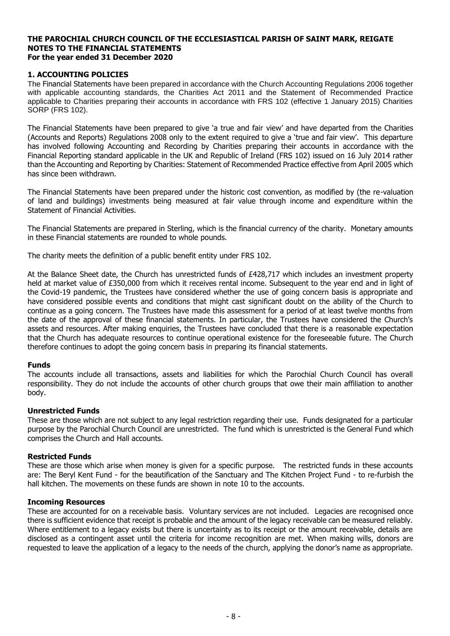## **1. ACCOUNTING POLICIES**

The Financial Statements have been prepared in accordance with the Church Accounting Regulations 2006 together with applicable accounting standards, the Charities Act 2011 and the Statement of Recommended Practice applicable to Charities preparing their accounts in accordance with FRS 102 (effective 1 January 2015) Charities SORP (FRS 102).

The Financial Statements have been prepared to give 'a true and fair view' and have departed from the Charities (Accounts and Reports) Regulations 2008 only to the extent required to give a 'true and fair view'. This departure has involved following Accounting and Recording by Charities preparing their accounts in accordance with the Financial Reporting standard applicable in the UK and Republic of Ireland (FRS 102) issued on 16 July 2014 rather than the Accounting and Reporting by Charities: Statement of Recommended Practice effective from April 2005 which has since been withdrawn.

The Financial Statements have been prepared under the historic cost convention, as modified by (the re-valuation of land and buildings) investments being measured at fair value through income and expenditure within the Statement of Financial Activities.

The Financial Statements are prepared in Sterling, which is the financial currency of the charity. Monetary amounts in these Financial statements are rounded to whole pounds.

The charity meets the definition of a public benefit entity under FRS 102.

At the Balance Sheet date, the Church has unrestricted funds of £428,717 which includes an investment property held at market value of £350,000 from which it receives rental income. Subsequent to the year end and in light of the Covid-19 pandemic, the Trustees have considered whether the use of going concern basis is appropriate and have considered possible events and conditions that might cast significant doubt on the ability of the Church to continue as a going concern. The Trustees have made this assessment for a period of at least twelve months from the date of the approval of these financial statements. In particular, the Trustees have considered the Church's assets and resources. After making enquiries, the Trustees have concluded that there is a reasonable expectation that the Church has adequate resources to continue operational existence for the foreseeable future. The Church therefore continues to adopt the going concern basis in preparing its financial statements.

#### **Funds**

The accounts include all transactions, assets and liabilities for which the Parochial Church Council has overall responsibility. They do not include the accounts of other church groups that owe their main affiliation to another body.

#### **Unrestricted Funds**

These are those which are not subject to any legal restriction regarding their use. Funds designated for a particular purpose by the Parochial Church Council are unrestricted. The fund which is unrestricted is the General Fund which comprises the Church and Hall accounts.

## **Restricted Funds**

These are those which arise when money is given for a specific purpose. The restricted funds in these accounts are: The Beryl Kent Fund - for the beautification of the Sanctuary and The Kitchen Project Fund - to re-furbish the hall kitchen. The movements on these funds are shown in note 10 to the accounts.

#### **Incoming Resources**

These are accounted for on a receivable basis. Voluntary services are not included. Legacies are recognised once there is sufficient evidence that receipt is probable and the amount of the legacy receivable can be measured reliably. Where entitlement to a legacy exists but there is uncertainty as to its receipt or the amount receivable, details are disclosed as a contingent asset until the criteria for income recognition are met. When making wills, donors are requested to leave the application of a legacy to the needs of the church, applying the donor's name as appropriate.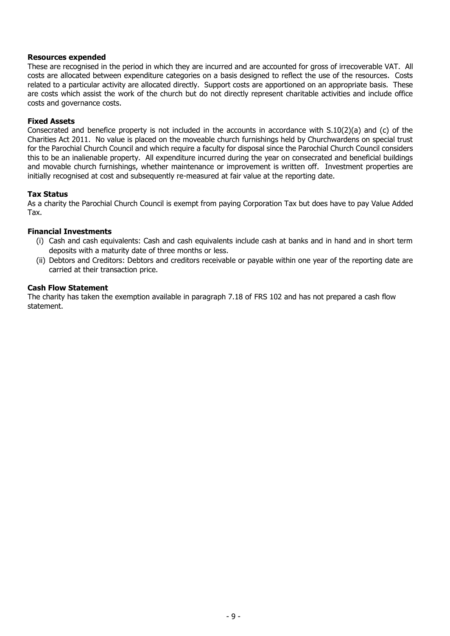#### **Resources expended**

These are recognised in the period in which they are incurred and are accounted for gross of irrecoverable VAT. All costs are allocated between expenditure categories on a basis designed to reflect the use of the resources. Costs related to a particular activity are allocated directly. Support costs are apportioned on an appropriate basis. These are costs which assist the work of the church but do not directly represent charitable activities and include office costs and governance costs.

## **Fixed Assets**

Consecrated and benefice property is not included in the accounts in accordance with S.10(2)(a) and (c) of the Charities Act 2011. No value is placed on the moveable church furnishings held by Churchwardens on special trust for the Parochial Church Council and which require a faculty for disposal since the Parochial Church Council considers this to be an inalienable property. All expenditure incurred during the year on consecrated and beneficial buildings and movable church furnishings, whether maintenance or improvement is written off. Investment properties are initially recognised at cost and subsequently re-measured at fair value at the reporting date.

## **Tax Status**

As a charity the Parochial Church Council is exempt from paying Corporation Tax but does have to pay Value Added Tax.

#### **Financial Investments**

- (i) Cash and cash equivalents: Cash and cash equivalents include cash at banks and in hand and in short term deposits with a maturity date of three months or less.
- (ii) Debtors and Creditors: Debtors and creditors receivable or payable within one year of the reporting date are carried at their transaction price.

#### **Cash Flow Statement**

The charity has taken the exemption available in paragraph 7.18 of FRS 102 and has not prepared a cash flow statement.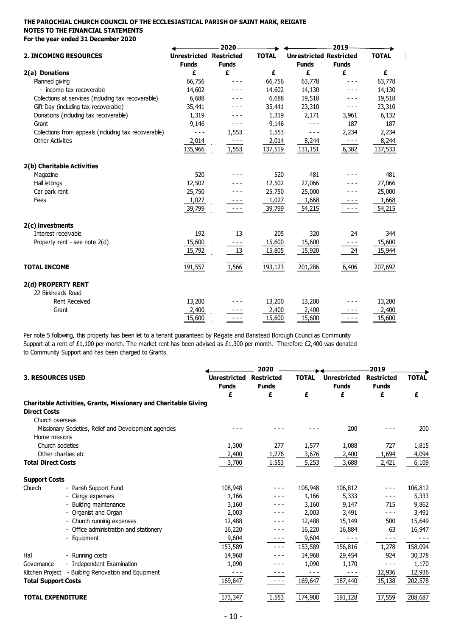|                                                      |                                                | 2020         |              |                                                | 2019                                                                                                                                                                                                                                                                                                                                                                                         |              |
|------------------------------------------------------|------------------------------------------------|--------------|--------------|------------------------------------------------|----------------------------------------------------------------------------------------------------------------------------------------------------------------------------------------------------------------------------------------------------------------------------------------------------------------------------------------------------------------------------------------------|--------------|
| <b>2. INCOMING RESOURCES</b>                         | <b>Unrestricted Restricted</b><br><b>Funds</b> | <b>Funds</b> | <b>TOTAL</b> | <b>Unrestricted Restricted</b><br><b>Funds</b> | <b>Funds</b>                                                                                                                                                                                                                                                                                                                                                                                 | <b>TOTAL</b> |
| 2(a) Donations                                       | £                                              | £            | £            | £                                              | £                                                                                                                                                                                                                                                                                                                                                                                            | £            |
| Planned giving                                       | 66,756                                         |              | 66,756       | 63,778                                         | $- - -$                                                                                                                                                                                                                                                                                                                                                                                      | 63,778       |
| - income tax recoverable                             | 14,602                                         |              | 14,602       | 14,130                                         | ---                                                                                                                                                                                                                                                                                                                                                                                          | 14,130       |
| Collections at services (including tax recoverable)  | 6,688                                          |              | 6,688        | 19,518                                         | ---                                                                                                                                                                                                                                                                                                                                                                                          | 19,518       |
| Gift Day (including tax recoverable)                 | 35,441                                         |              | 35,441       | 23,310                                         | ---                                                                                                                                                                                                                                                                                                                                                                                          | 23,310       |
| Donations (including tax recoverable)                | 1,319                                          |              | 1,319        | 2,171                                          | 3,961                                                                                                                                                                                                                                                                                                                                                                                        | 6,132        |
| Grant                                                | 9,146                                          |              | 9,146        |                                                | 187                                                                                                                                                                                                                                                                                                                                                                                          | 187          |
| Collections from appeals (including tax recoverable) | - - -                                          | 1,553        | 1,553        |                                                | 2,234                                                                                                                                                                                                                                                                                                                                                                                        | 2,234        |
| <b>Other Activities</b>                              | 2,014                                          | $- - -$      | 2,014        | 8,244                                          | $\frac{1}{2} \frac{1}{2} \frac{1}{2} \frac{1}{2} \frac{1}{2} \frac{1}{2} \frac{1}{2} \frac{1}{2} \frac{1}{2} \frac{1}{2} \frac{1}{2} \frac{1}{2} \frac{1}{2} \frac{1}{2} \frac{1}{2} \frac{1}{2} \frac{1}{2} \frac{1}{2} \frac{1}{2} \frac{1}{2} \frac{1}{2} \frac{1}{2} \frac{1}{2} \frac{1}{2} \frac{1}{2} \frac{1}{2} \frac{1}{2} \frac{1}{2} \frac{1}{2} \frac{1}{2} \frac{1}{2} \frac{$ | 8,244        |
|                                                      | 135,966                                        | 1,553        | 137,519      | 131,151                                        | 6,382                                                                                                                                                                                                                                                                                                                                                                                        | 137,533      |
| 2(b) Charitable Activities                           |                                                |              |              |                                                |                                                                                                                                                                                                                                                                                                                                                                                              |              |
| Magazine                                             | 520                                            |              | 520          | 481                                            |                                                                                                                                                                                                                                                                                                                                                                                              | 481          |
| Hall lettings                                        | 12,502                                         |              | 12,502       | 27,066                                         |                                                                                                                                                                                                                                                                                                                                                                                              | 27,066       |
| Car park rent                                        | 25,750                                         |              | 25,750       | 25,000                                         |                                                                                                                                                                                                                                                                                                                                                                                              | 25,000       |
| Fees                                                 | 1,027                                          |              | 1,027        | 1,668                                          | - - -                                                                                                                                                                                                                                                                                                                                                                                        | 1,668        |
|                                                      | 39,799                                         | - - -        | 39,799       | 54,215                                         | $- - -$                                                                                                                                                                                                                                                                                                                                                                                      | 54,215       |
| 2(c) investments                                     |                                                |              |              |                                                |                                                                                                                                                                                                                                                                                                                                                                                              |              |
| Interest receivable                                  | 192                                            | 13           | 205          | 320                                            | 24                                                                                                                                                                                                                                                                                                                                                                                           | 344          |
| Property rent - see note 2(d)                        | 15,600                                         |              | 15,600       | 15,600                                         | - - -                                                                                                                                                                                                                                                                                                                                                                                        | 15,600       |
|                                                      | 15,792                                         | 13           | 15,805       | 15,920                                         | 24                                                                                                                                                                                                                                                                                                                                                                                           | 15,944       |
| <b>TOTAL INCOME</b>                                  | 191,557                                        | 1,566        | 193,123      | 201,286                                        | 6,406                                                                                                                                                                                                                                                                                                                                                                                        | 207,692      |
| 2(d) PROPERTY RENT                                   |                                                |              |              |                                                |                                                                                                                                                                                                                                                                                                                                                                                              |              |
| 22 Birkheads Road                                    |                                                |              |              |                                                |                                                                                                                                                                                                                                                                                                                                                                                              |              |
| Rent Received                                        | 13,200                                         |              | 13,200       | 13,200                                         |                                                                                                                                                                                                                                                                                                                                                                                              | 13,200       |
| Grant                                                | 2,400                                          |              | 2,400        | 2,400                                          |                                                                                                                                                                                                                                                                                                                                                                                              | 2,400        |
|                                                      | 15,600                                         |              | 15,600       | 15,600                                         | - - -                                                                                                                                                                                                                                                                                                                                                                                        | 15,600       |

Per note 5 following, this property has been let to a tenant guaranteed by Reigate and Banstead Borough Council as Community Support at a rent of £1,100 per month. The market rent has been advised as £1,300 per month. Therefore £2,400 was donated to Community Support and has been charged to Grants.

|                                                                                               |                                     | 2020                              |              |                                     | 2019                              |              |
|-----------------------------------------------------------------------------------------------|-------------------------------------|-----------------------------------|--------------|-------------------------------------|-----------------------------------|--------------|
| <b>3. RESOURCES USED</b>                                                                      | <b>Unrestricted</b><br><b>Funds</b> | <b>Restricted</b><br><b>Funds</b> | <b>TOTAL</b> | <b>Unrestricted</b><br><b>Funds</b> | <b>Restricted</b><br><b>Funds</b> | <b>TOTAL</b> |
|                                                                                               | £                                   | £                                 | £            | £                                   | £                                 | £            |
| <b>Charitable Activities, Grants, Missionary and Charitable Giving</b><br><b>Direct Costs</b> |                                     |                                   |              |                                     |                                   |              |
| Church overseas                                                                               |                                     |                                   |              |                                     |                                   |              |
| Missionary Societies, Relief and Development agencies                                         |                                     |                                   |              | 200                                 |                                   | 200          |
| Home missions                                                                                 |                                     |                                   |              |                                     |                                   |              |
| Church societies                                                                              | 1,300                               | 277                               | 1,577        | 1,088                               | 727                               | 1,815        |
| Other charities etc                                                                           | 2,400                               | 1,276                             | 3,676        | 2,400                               | 1,694                             | 4,094        |
| <b>Total Direct Costs</b>                                                                     | 3,700                               | 1,553                             | 5,253        | 3,688                               | 2,421                             | 6,109        |
|                                                                                               |                                     |                                   |              |                                     |                                   |              |
| <b>Support Costs</b>                                                                          |                                     |                                   |              |                                     |                                   |              |
| Church<br>- Parish Support Fund                                                               | 108,948                             | ---                               | 108,948      | 106,812                             | $- - -$                           | 106,812      |
| - Clergy expenses                                                                             | 1,166                               |                                   | 1,166        | 5,333                               |                                   | 5,333        |
| - Building maintenance                                                                        | 3,160                               |                                   | 3,160        | 9,147                               | 715                               | 9,862        |
| - Organist and Organ                                                                          | 2,003                               | - - -                             | 2,003        | 3,491                               | $- - -$                           | 3,491        |
| - Church running expenses                                                                     | 12,488                              |                                   | 12,488       | 15,149                              | 500                               | 15,649       |
| - Office administration and stationery                                                        | 16,220                              | ---                               | 16,220       | 16,884                              | 63                                | 16,947       |
| - Equipment                                                                                   | 9,604                               | ---                               | 9,604        | $- - -$                             | $- - -$                           |              |
|                                                                                               | 153,589                             | ---                               | 153,589      | 156,816                             | 1,278                             | 158,094      |
| Hall<br>- Running costs                                                                       | 14,968                              |                                   | 14,968       | 29,454                              | 924                               | 30,378       |
| - Independent Examination<br>Governance                                                       | 1,090                               |                                   | 1,090        | 1,170                               | $- - -$                           | 1,170        |
| Kitchen Project - Building Renovation and Equipment                                           |                                     | ---                               | ---          |                                     | 12,936                            | 12,936       |
| <b>Total Support Costs</b>                                                                    | 169,647                             | $\frac{1}{2}$                     | 169,647      | 187,440                             | 15,138                            | 202,578      |
| <b>TOTAL EXPENDITURE</b>                                                                      | 173,347                             | 1,553                             | 174,900      | 191,128                             | 17,559                            | 208,687      |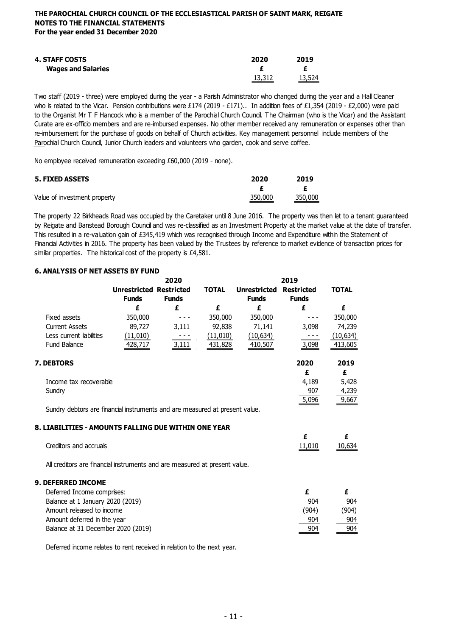| <b>4. STAFF COSTS</b>     | 2020          | 2019   |
|---------------------------|---------------|--------|
| <b>Wages and Salaries</b> |               |        |
|                           | <u>13,312</u> | 13,524 |

Two staff (2019 - three) were employed during the year - a Parish Administrator who changed during the year and a Hall Cleaner who is related to the Vicar. Pension contributions were £174 (2019 - £171).. In addition fees of £1,354 (2019 - £2,000) were paid to the Organist Mr T F Hancock who is a member of the Parochial Church Council. The Chairman (who is the Vicar) and the Assistant Curate are ex-officio members and are re-imbursed expenses. No other member received any remuneration or expenses other than re-imbursement for the purchase of goods on behalf of Church activities. Key management personnel include members of the Parochial Church Council, Junior Church leaders and volunteers who garden, cook and serve coffee.

No employee received remuneration exceeding £60,000 (2019 - none).

| <b>5. FIXED ASSETS</b>       | 2020    | 2019    |
|------------------------------|---------|---------|
|                              |         |         |
| Value of investment property | 350,000 | 350,000 |

The property 22 Birkheads Road was occupied by the Caretaker until 8 June 2016. The property was then let to a tenant guaranteed by Reigate and Banstead Borough Council and was re-classified as an Investment Property at the market value at the date of transfer. This resulted in a re-valuation gain of £345,419 which was recognised through Income and Expenditure within the Statement of Financial Activities in 2016. The property has been valued by the Trustees by reference to market evidence of transaction prices for similar properties. The historical cost of the property is £4,581.

#### **6. ANALYSIS OF NET ASSETS BY FUND**

|                                                                             | 2020                                           |              |              | 2019                                |                                   |              |  |
|-----------------------------------------------------------------------------|------------------------------------------------|--------------|--------------|-------------------------------------|-----------------------------------|--------------|--|
|                                                                             | <b>Unrestricted Restricted</b><br><b>Funds</b> | <b>Funds</b> | <b>TOTAL</b> | <b>Unrestricted</b><br><b>Funds</b> | <b>Restricted</b><br><b>Funds</b> | <b>TOTAL</b> |  |
|                                                                             | £                                              | £            | £            | £                                   | £                                 | £            |  |
| <b>Fixed assets</b>                                                         | 350,000                                        |              | 350,000      | 350,000                             |                                   | 350,000      |  |
| <b>Current Assets</b>                                                       | 89,727                                         | 3,111        | 92,838       | 71,141                              | 3,098                             | 74,239       |  |
| Less current liabilities                                                    | (11,010)                                       |              | (11,010)     | (10, 634)                           | - - -                             | (10, 634)    |  |
| <b>Fund Balance</b>                                                         | 428,717                                        | 3,111        | 431,828      | 410,507                             | 3,098                             | 413,605      |  |
| 7. DEBTORS                                                                  |                                                |              |              |                                     | 2020                              | 2019         |  |
|                                                                             |                                                |              |              |                                     | £                                 | £            |  |
| Income tax recoverable                                                      |                                                |              |              |                                     | 4,189                             | 5,428        |  |
| Sundry                                                                      |                                                |              |              |                                     | 907                               | 4,239        |  |
|                                                                             |                                                |              |              |                                     | 5,096                             | 9,667        |  |
| Sundry debtors are financial instruments and are measured at present value. |                                                |              |              |                                     |                                   |              |  |
| 8. LIABILITIES - AMOUNTS FALLING DUE WITHIN ONE YEAR                        |                                                |              |              |                                     |                                   |              |  |
| Creditors and accruals                                                      |                                                |              |              |                                     | £<br>11,010                       | £<br>10,634  |  |
|                                                                             |                                                |              |              |                                     |                                   |              |  |
| All creditors are financial instruments and are measured at present value.  |                                                |              |              |                                     |                                   |              |  |
| 9. DEFERRED INCOME                                                          |                                                |              |              |                                     |                                   |              |  |
| Deferred Income comprises:                                                  |                                                |              |              |                                     | £                                 | £            |  |
| Balance at 1 January 2020 (2019)                                            |                                                |              |              |                                     | 904                               | 904          |  |
| Amount released to income                                                   |                                                |              |              |                                     | (904)                             | (904)        |  |
| Amount deferred in the year                                                 |                                                |              |              |                                     | 904                               | 904          |  |
| Balance at 31 December 2020 (2019)                                          |                                                |              |              |                                     | 904                               | 904          |  |
|                                                                             |                                                |              |              |                                     |                                   |              |  |

Deferred income relates to rent received in relation to the next year.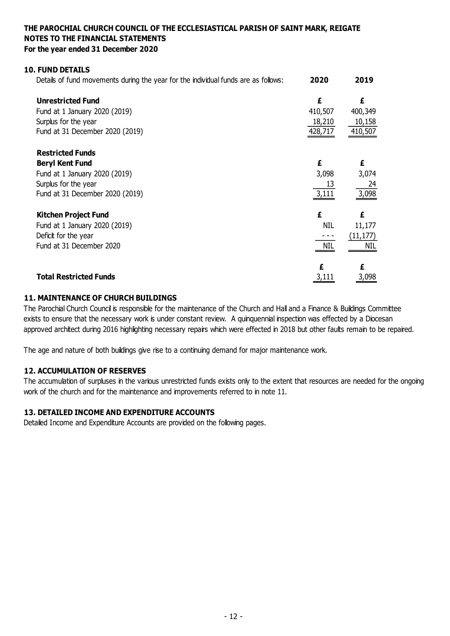## **10. FUND DETAILS**

| Details of fund movements during the year for the individual funds are as follows: | 2020       | 2019      |
|------------------------------------------------------------------------------------|------------|-----------|
| <b>Unrestricted Fund</b>                                                           | £          | £         |
| Fund at 1 January 2020 (2019)                                                      | 410,507    | 400,349   |
| Surplus for the year                                                               | 18,210     | 10,158    |
| Fund at 31 December 2020 (2019)                                                    | 428,717    | 410,507   |
| <b>Restricted Funds</b>                                                            |            |           |
| <b>Beryl Kent Fund</b>                                                             | £          | £         |
| Fund at 1 January 2020 (2019)                                                      | 3,098      | 3,074     |
| Surplus for the year                                                               | 13         | 24        |
| Fund at 31 December 2020 (2019)                                                    | 3,111      | 3,098     |
| <b>Kitchen Project Fund</b>                                                        | £          | £         |
| Fund at 1 January 2020 (2019)                                                      | <b>NIL</b> | 11,177    |
| Deficit for the year                                                               |            | (11, 177) |
| Fund at 31 December 2020                                                           | <b>NIL</b> | NIL       |
|                                                                                    |            | £         |
| <b>Total Restricted Funds</b>                                                      |            | 3,098     |

## **11. MAINTENANCE OF CHURCH BUILDINGS**

The Parochial Church Council is responsible for the maintenance of the Church and Hall and a Finance & Buildings Committee exists to ensure that the necessary work is under constant review. A quinquennial inspection was effected by a Diocesan approved architect during 2016 highlighting necessary repairs which were effected in 2018 but other faults remain to be repaired.

The age and nature of both buildings give rise to a continuing demand for major maintenance work.

## **12. ACCUMULATION OF RESERVES**

The accumulation of surpluses in the various unrestricted funds exists only to the extent that resources are needed for the ongoing work of the church and for the maintenance and improvements referred to in note 11.

## **13. DETAILED INCOME AND EXPENDITURE ACCOUNTS**

Detailed Income and Expenditure Accounts are provided on the following pages.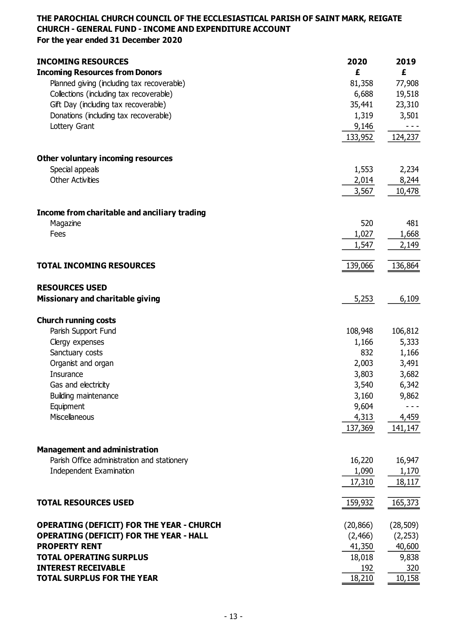## **THE PAROCHIAL CHURCH COUNCIL OF THE ECCLESIASTICAL PARISH OF SAINT MARK, REIGATE CHURCH - GENERAL FUND - INCOME AND EXPENDITURE ACCOUNT For the year ended 31 December 2020**

**INCOMING RESOURCES 2020 2019 Incoming Resources from Donors £ £** Planned giving (including tax recoverable) 81,358 77,908 Collections (including tax recoverable) 6,688 19,518 Gift Day (including tax recoverable) 35,441 23,310 Donations (including tax recoverable) and the state of the state of the state of the state of the state of the state of the state of the state of the state of the state of the state of the state of the state of the state o Lottery Grant 9,146 - - - 133,952 124,237 **Other voluntary incoming resources** Special appeals 2,234 Other Activities 2,014 8,244 3,567 10,478 **Income from charitable and anciliary trading** Magazine 520 481 Fees  $1,027$   $1,668$ 1,547 2,149 **TOTAL INCOMING RESOURCES** 139,066 136,864 **RESOURCES USED Missionary and charitable giving 5,253** 6,109 **Church running costs** Parish Support Fund 108,948 106,812 Clergy expenses 5,333 Sanctuary costs 1,166 Organist and organ 2,003 3,491  $\,$ Insurance  $\,$  3,803  $\,$  3,682  $\,$ Gas and electricity 6.342 Building maintenance 3,160 9,862 Equipment 9,604 - - - Miscellaneous 4,313 4,459 137,369 141,147 **Management and administration** Parish Office administration and stationery 16,220 16,947 Independent Examination 1,170 17,310 18,117 **TOTAL RESOURCES USED** 159,932 165,373 **OPERATING (DEFICIT) FOR THE YEAR - CHURCH** (20,866) (28,509) **OPERATING (DEFICIT) FOR THE YEAR - HALL** (2,466) (2,466) (2,253) **PROPERTY RENT** 40,600 **TOTAL OPERATING SURPLUS** 18,018 9,838 **INTEREST RECEIVABLE** 320 **TOTAL SURPLUS FOR THE YEAR** 18,210 10,158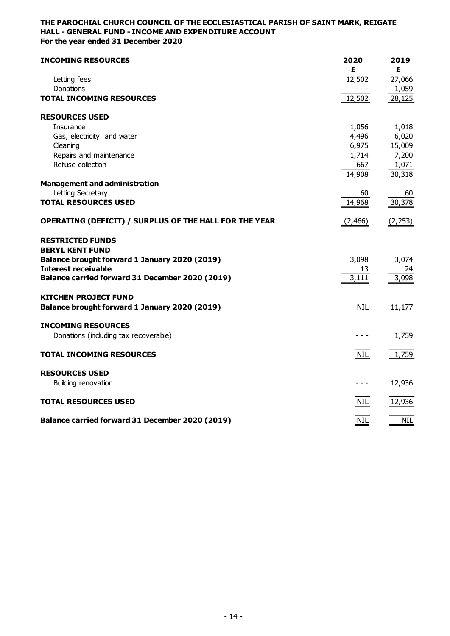## **THE PAROCHIAL CHURCH COUNCIL OF THE ECCLESIASTICAL PARISH OF SAINT MARK, REIGATE HALL - GENERAL FUND - INCOME AND EXPENDITURE ACCOUNT For the year ended 31 December 2020**

| <b>INCOMING RESOURCES</b>                                     | 2020              | 2019            |
|---------------------------------------------------------------|-------------------|-----------------|
|                                                               | £                 | £               |
| Letting fees<br>Donations                                     | 12,502<br>$- - -$ | 27,066<br>1,059 |
| <b>TOTAL INCOMING RESOURCES</b>                               | 12,502            | 28,125          |
| <b>RESOURCES USED</b>                                         |                   |                 |
| Insurance                                                     | 1,056             | 1,018           |
| Gas, electricity and water                                    | 4,496             | 6,020           |
| Cleaning                                                      | 6,975             | 15,009          |
| Repairs and maintenance                                       | 1,714             | 7,200           |
| Refuse collection                                             | 667               | 1,071           |
|                                                               | 14,908            | 30,318          |
| <b>Management and administration</b>                          |                   |                 |
| Letting Secretary<br><b>TOTAL RESOURCES USED</b>              | 60<br>14,968      | 60<br>30,378    |
|                                                               |                   |                 |
| <b>OPERATING (DEFICIT) / SURPLUS OF THE HALL FOR THE YEAR</b> | (2, 466)          | (2, 253)        |
| <b>RESTRICTED FUNDS</b>                                       |                   |                 |
| <b>BERYL KENT FUND</b>                                        |                   |                 |
| Balance brought forward 1 January 2020 (2019)                 | 3,098             | 3,074           |
| <b>Interest receivable</b>                                    | 13                | 24              |
| Balance carried forward 31 December 2020 (2019)               | 3,111             | 3,098           |
| <b>KITCHEN PROJECT FUND</b>                                   |                   |                 |
| Balance brought forward 1 January 2020 (2019)                 | <b>NIL</b>        | 11,177          |
| <b>INCOMING RESOURCES</b>                                     |                   |                 |
| Donations (including tax recoverable)                         |                   | 1,759           |
|                                                               |                   |                 |
| <b>TOTAL INCOMING RESOURCES</b>                               | NIL               | 1,759           |
| <b>RESOURCES USED</b>                                         |                   |                 |
| Building renovation                                           | - - -             | 12,936          |
| <b>TOTAL RESOURCES USED</b>                                   | <b>NIL</b>        | 12,936          |
|                                                               |                   |                 |
| Balance carried forward 31 December 2020 (2019)               | <b>NIL</b>        | <b>NIL</b>      |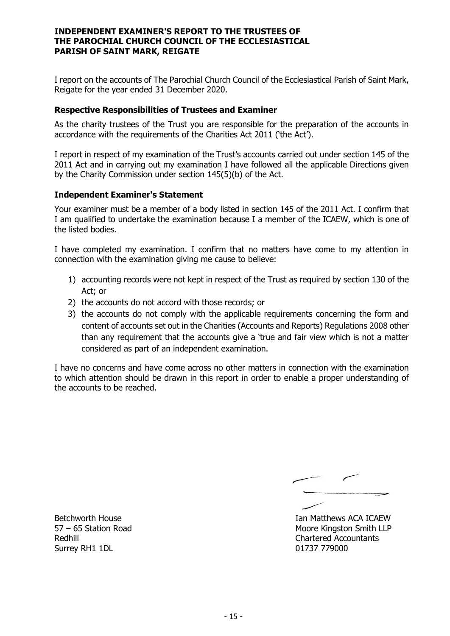## **INDEPENDENT EXAMINER'S REPORT TO THE TRUSTEES OF THE PAROCHIAL CHURCH COUNCIL OF THE ECCLESIASTICAL PARISH OF SAINT MARK, REIGATE**

I report on the accounts of The Parochial Church Council of the Ecclesiastical Parish of Saint Mark, Reigate for the year ended 31 December 2020.

## **Respective Responsibilities of Trustees and Examiner**

As the charity trustees of the Trust you are responsible for the preparation of the accounts in accordance with the requirements of the Charities Act 2011 ('the Act').

I report in respect of my examination of the Trust's accounts carried out under section 145 of the 2011 Act and in carrying out my examination I have followed all the applicable Directions given by the Charity Commission under section 145(5)(b) of the Act.

## **Independent Examiner's Statement**

Your examiner must be a member of a body listed in section 145 of the 2011 Act. I confirm that I am qualified to undertake the examination because I a member of the ICAEW, which is one of the listed bodies.

I have completed my examination. I confirm that no matters have come to my attention in connection with the examination giving me cause to believe:

- 1) accounting records were not kept in respect of the Trust as required by section 130 of the Act; or
- 2) the accounts do not accord with those records; or
- 3) the accounts do not comply with the applicable requirements concerning the form and content of accounts set out in the Charities (Accounts and Reports) Regulations 2008 other than any requirement that the accounts give a 'true and fair view which is not a matter considered as part of an independent examination.

I have no concerns and have come across no other matters in connection with the examination to which attention should be drawn in this report in order to enable a proper understanding of the accounts to be reached.

Betchworth House **Ian Matthews ACA ICAEW** 57 – 65 Station Road Moore Kingston Smith LLP Redhill Chartered Accountants

Surrey RH1 1DL 01737 779000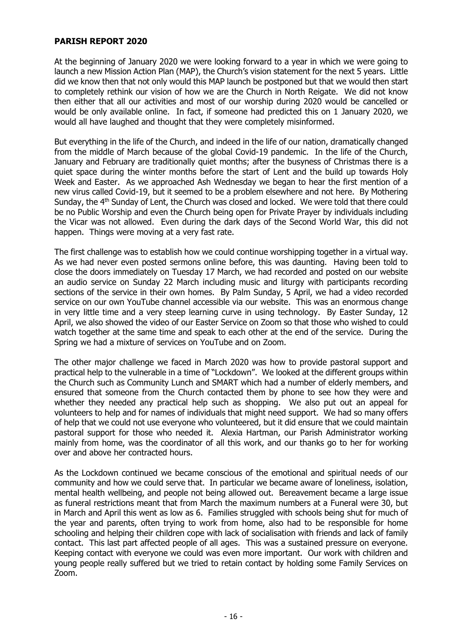## **PARISH REPORT 2020**

At the beginning of January 2020 we were looking forward to a year in which we were going to launch a new Mission Action Plan (MAP), the Church's vision statement for the next 5 years. Little did we know then that not only would this MAP launch be postponed but that we would then start to completely rethink our vision of how we are the Church in North Reigate. We did not know then either that all our activities and most of our worship during 2020 would be cancelled or would be only available online. In fact, if someone had predicted this on 1 January 2020, we would all have laughed and thought that they were completely misinformed.

But everything in the life of the Church, and indeed in the life of our nation, dramatically changed from the middle of March because of the global Covid-19 pandemic. In the life of the Church, January and February are traditionally quiet months; after the busyness of Christmas there is a quiet space during the winter months before the start of Lent and the build up towards Holy Week and Easter. As we approached Ash Wednesday we began to hear the first mention of a new virus called Covid-19, but it seemed to be a problem elsewhere and not here. By Mothering Sunday, the 4<sup>th</sup> Sunday of Lent, the Church was closed and locked. We were told that there could be no Public Worship and even the Church being open for Private Prayer by individuals including the Vicar was not allowed. Even during the dark days of the Second World War, this did not happen. Things were moving at a very fast rate.

The first challenge was to establish how we could continue worshipping together in a virtual way. As we had never even posted sermons online before, this was daunting. Having been told to close the doors immediately on Tuesday 17 March, we had recorded and posted on our website an audio service on Sunday 22 March including music and liturgy with participants recording sections of the service in their own homes. By Palm Sunday, 5 April, we had a video recorded service on our own YouTube channel accessible via our website. This was an enormous change in very little time and a very steep learning curve in using technology. By Easter Sunday, 12 April, we also showed the video of our Easter Service on Zoom so that those who wished to could watch together at the same time and speak to each other at the end of the service. During the Spring we had a mixture of services on YouTube and on Zoom.

The other major challenge we faced in March 2020 was how to provide pastoral support and practical help to the vulnerable in a time of "Lockdown". We looked at the different groups within the Church such as Community Lunch and SMART which had a number of elderly members, and ensured that someone from the Church contacted them by phone to see how they were and whether they needed any practical help such as shopping. We also put out an appeal for volunteers to help and for names of individuals that might need support. We had so many offers of help that we could not use everyone who volunteered, but it did ensure that we could maintain pastoral support for those who needed it. Alexia Hartman, our Parish Administrator working mainly from home, was the coordinator of all this work, and our thanks go to her for working over and above her contracted hours.

As the Lockdown continued we became conscious of the emotional and spiritual needs of our community and how we could serve that. In particular we became aware of loneliness, isolation, mental health wellbeing, and people not being allowed out. Bereavement became a large issue as funeral restrictions meant that from March the maximum numbers at a Funeral were 30, but in March and April this went as low as 6. Families struggled with schools being shut for much of the year and parents, often trying to work from home, also had to be responsible for home schooling and helping their children cope with lack of socialisation with friends and lack of family contact. This last part affected people of all ages. This was a sustained pressure on everyone. Keeping contact with everyone we could was even more important. Our work with children and young people really suffered but we tried to retain contact by holding some Family Services on Zoom.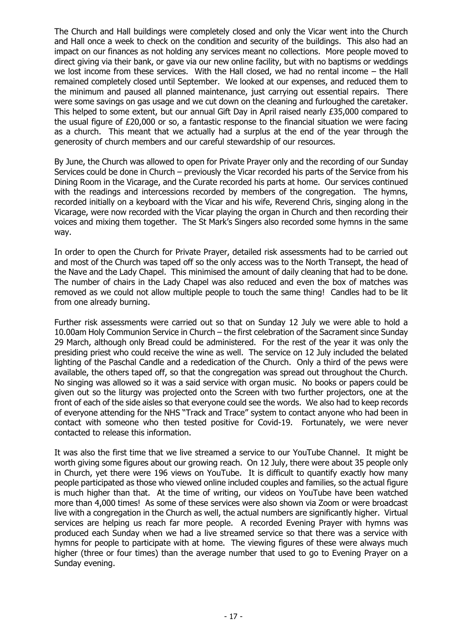The Church and Hall buildings were completely closed and only the Vicar went into the Church and Hall once a week to check on the condition and security of the buildings. This also had an impact on our finances as not holding any services meant no collections. More people moved to direct giving via their bank, or gave via our new online facility, but with no baptisms or weddings we lost income from these services. With the Hall closed, we had no rental income – the Hall remained completely closed until September. We looked at our expenses, and reduced them to the minimum and paused all planned maintenance, just carrying out essential repairs. There were some savings on gas usage and we cut down on the cleaning and furloughed the caretaker. This helped to some extent, but our annual Gift Day in April raised nearly £35,000 compared to the usual figure of £20,000 or so, a fantastic response to the financial situation we were facing as a church. This meant that we actually had a surplus at the end of the year through the generosity of church members and our careful stewardship of our resources.

By June, the Church was allowed to open for Private Prayer only and the recording of our Sunday Services could be done in Church – previously the Vicar recorded his parts of the Service from his Dining Room in the Vicarage, and the Curate recorded his parts at home. Our services continued with the readings and intercessions recorded by members of the congregation. The hymns, recorded initially on a keyboard with the Vicar and his wife, Reverend Chris, singing along in the Vicarage, were now recorded with the Vicar playing the organ in Church and then recording their voices and mixing them together. The St Mark's Singers also recorded some hymns in the same way.

In order to open the Church for Private Prayer, detailed risk assessments had to be carried out and most of the Church was taped off so the only access was to the North Transept, the head of the Nave and the Lady Chapel. This minimised the amount of daily cleaning that had to be done. The number of chairs in the Lady Chapel was also reduced and even the box of matches was removed as we could not allow multiple people to touch the same thing! Candles had to be lit from one already burning.

Further risk assessments were carried out so that on Sunday 12 July we were able to hold a 10.00am Holy Communion Service in Church – the first celebration of the Sacrament since Sunday 29 March, although only Bread could be administered. For the rest of the year it was only the presiding priest who could receive the wine as well. The service on 12 July included the belated lighting of the Paschal Candle and a rededication of the Church. Only a third of the pews were available, the others taped off, so that the congregation was spread out throughout the Church. No singing was allowed so it was a said service with organ music. No books or papers could be given out so the liturgy was projected onto the Screen with two further projectors, one at the front of each of the side aisles so that everyone could see the words. We also had to keep records of everyone attending for the NHS "Track and Trace" system to contact anyone who had been in contact with someone who then tested positive for Covid-19. Fortunately, we were never contacted to release this information.

It was also the first time that we live streamed a service to our YouTube Channel. It might be worth giving some figures about our growing reach. On 12 July, there were about 35 people only in Church, yet there were 196 views on YouTube. It is difficult to quantify exactly how many people participated as those who viewed online included couples and families, so the actual figure is much higher than that. At the time of writing, our videos on YouTube have been watched more than 4,000 times! As some of these services were also shown via Zoom or were broadcast live with a congregation in the Church as well, the actual numbers are significantly higher. Virtual services are helping us reach far more people. A recorded Evening Prayer with hymns was produced each Sunday when we had a live streamed service so that there was a service with hymns for people to participate with at home. The viewing figures of these were always much higher (three or four times) than the average number that used to go to Evening Prayer on a Sunday evening.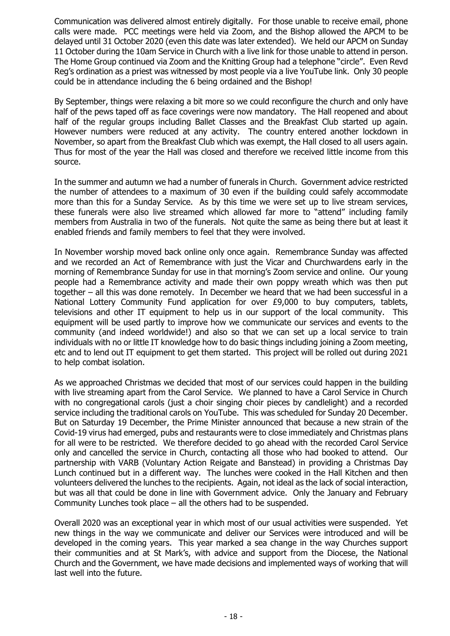Communication was delivered almost entirely digitally. For those unable to receive email, phone calls were made. PCC meetings were held via Zoom, and the Bishop allowed the APCM to be delayed until 31 October 2020 (even this date was later extended). We held our APCM on Sunday 11 October during the 10am Service in Church with a live link for those unable to attend in person. The Home Group continued via Zoom and the Knitting Group had a telephone "circle". Even Revd Reg's ordination as a priest was witnessed by most people via a live YouTube link. Only 30 people could be in attendance including the 6 being ordained and the Bishop!

By September, things were relaxing a bit more so we could reconfigure the church and only have half of the pews taped off as face coverings were now mandatory. The Hall reopened and about half of the regular groups including Ballet Classes and the Breakfast Club started up again. However numbers were reduced at any activity. The country entered another lockdown in November, so apart from the Breakfast Club which was exempt, the Hall closed to all users again. Thus for most of the year the Hall was closed and therefore we received little income from this source.

In the summer and autumn we had a number of funerals in Church. Government advice restricted the number of attendees to a maximum of 30 even if the building could safely accommodate more than this for a Sunday Service. As by this time we were set up to live stream services, these funerals were also live streamed which allowed far more to "attend" including family members from Australia in two of the funerals. Not quite the same as being there but at least it enabled friends and family members to feel that they were involved.

In November worship moved back online only once again. Remembrance Sunday was affected and we recorded an Act of Remembrance with just the Vicar and Churchwardens early in the morning of Remembrance Sunday for use in that morning's Zoom service and online. Our young people had a Remembrance activity and made their own poppy wreath which was then put together – all this was done remotely. In December we heard that we had been successful in a National Lottery Community Fund application for over £9,000 to buy computers, tablets, televisions and other IT equipment to help us in our support of the local community. This equipment will be used partly to improve how we communicate our services and events to the community (and indeed worldwide!) and also so that we can set up a local service to train individuals with no or little IT knowledge how to do basic things including joining a Zoom meeting, etc and to lend out IT equipment to get them started. This project will be rolled out during 2021 to help combat isolation.

As we approached Christmas we decided that most of our services could happen in the building with live streaming apart from the Carol Service. We planned to have a Carol Service in Church with no congregational carols (just a choir singing choir pieces by candlelight) and a recorded service including the traditional carols on YouTube. This was scheduled for Sunday 20 December. But on Saturday 19 December, the Prime Minister announced that because a new strain of the Covid-19 virus had emerged, pubs and restaurants were to close immediately and Christmas plans for all were to be restricted. We therefore decided to go ahead with the recorded Carol Service only and cancelled the service in Church, contacting all those who had booked to attend. Our partnership with VARB (Voluntary Action Reigate and Banstead) in providing a Christmas Day Lunch continued but in a different way. The lunches were cooked in the Hall Kitchen and then volunteers delivered the lunches to the recipients. Again, not ideal as the lack of social interaction, but was all that could be done in line with Government advice. Only the January and February Community Lunches took place – all the others had to be suspended.

Overall 2020 was an exceptional year in which most of our usual activities were suspended. Yet new things in the way we communicate and deliver our Services were introduced and will be developed in the coming years. This year marked a sea change in the way Churches support their communities and at St Mark's, with advice and support from the Diocese, the National Church and the Government, we have made decisions and implemented ways of working that will last well into the future.